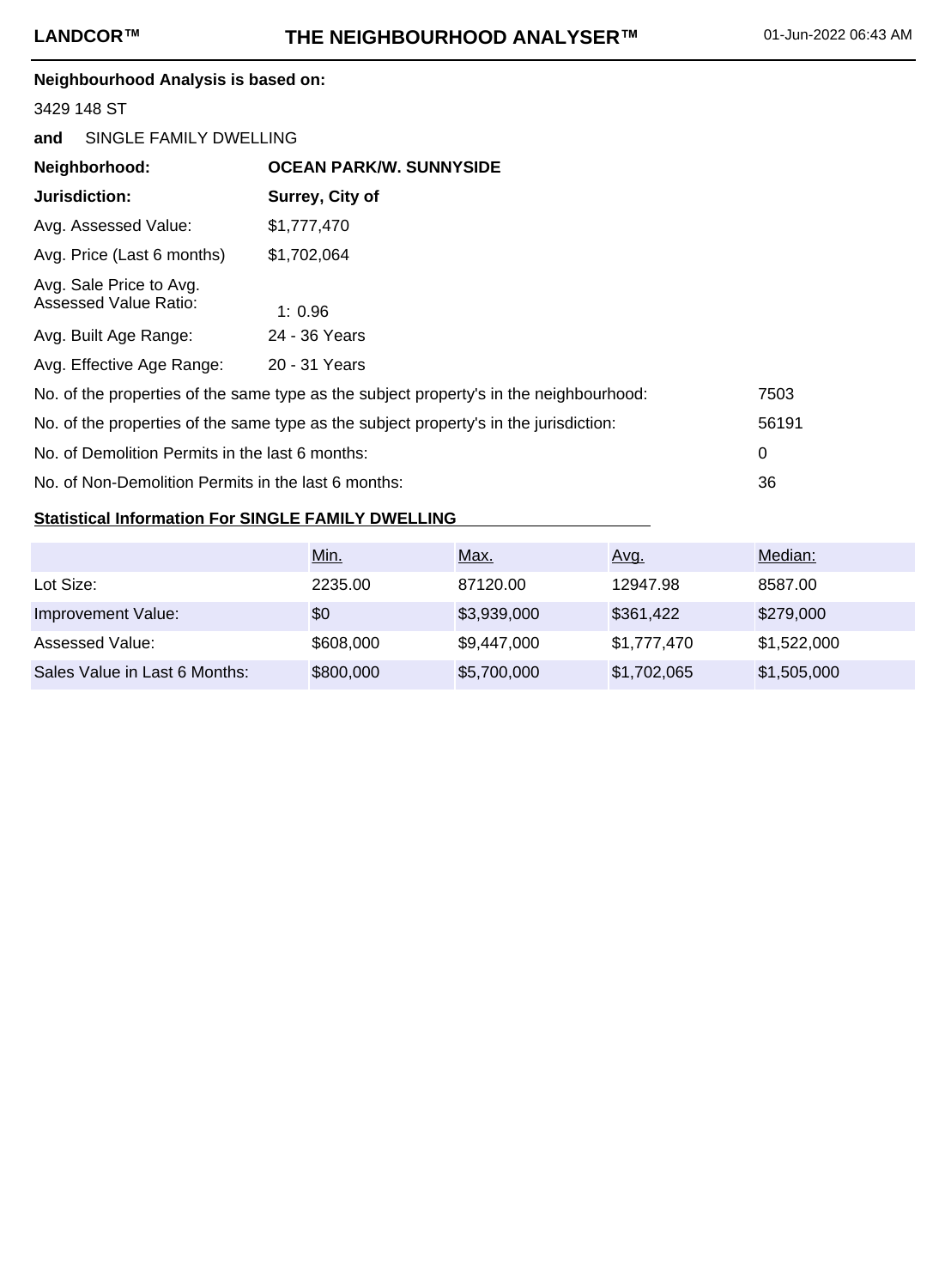## **Neighbourhood Analysis is based on:**

### 3429 148 ST

| and                                                                                            | SINGLE FAMILY DWELLING         |  |  |  |  |
|------------------------------------------------------------------------------------------------|--------------------------------|--|--|--|--|
| Neighborhood:                                                                                  | <b>OCEAN PARK/W. SUNNYSIDE</b> |  |  |  |  |
| Jurisdiction:                                                                                  | Surrey, City of                |  |  |  |  |
| Avg. Assessed Value:                                                                           | \$1,777,470                    |  |  |  |  |
| Avg. Price (Last 6 months)                                                                     | \$1,702,064                    |  |  |  |  |
| Avg. Sale Price to Avg.<br>Assessed Value Ratio:                                               | 1:0.96                         |  |  |  |  |
| Avg. Built Age Range:                                                                          | 24 - 36 Years                  |  |  |  |  |
| Avg. Effective Age Range:                                                                      | 20 - 31 Years                  |  |  |  |  |
| No. of the properties of the same type as the subject property's in the neighbourhood:<br>7503 |                                |  |  |  |  |
| No. of the properties of the same type as the subject property's in the jurisdiction:<br>56191 |                                |  |  |  |  |
| No. of Demolition Permits in the last 6 months:<br>0                                           |                                |  |  |  |  |
| 36<br>No. of Non-Demolition Permits in the last 6 months:                                      |                                |  |  |  |  |

# **Statistical Information For SINGLE FAMILY DWELLING**

|                               | Min.      | <u>Max.</u> | Avg.        | Median:     |
|-------------------------------|-----------|-------------|-------------|-------------|
| Lot Size:                     | 2235.00   | 87120.00    | 12947.98    | 8587.00     |
| Improvement Value:            | \$0       | \$3,939,000 | \$361,422   | \$279,000   |
| Assessed Value:               | \$608,000 | \$9,447,000 | \$1,777,470 | \$1,522,000 |
| Sales Value in Last 6 Months: | \$800,000 | \$5,700,000 | \$1,702,065 | \$1,505,000 |